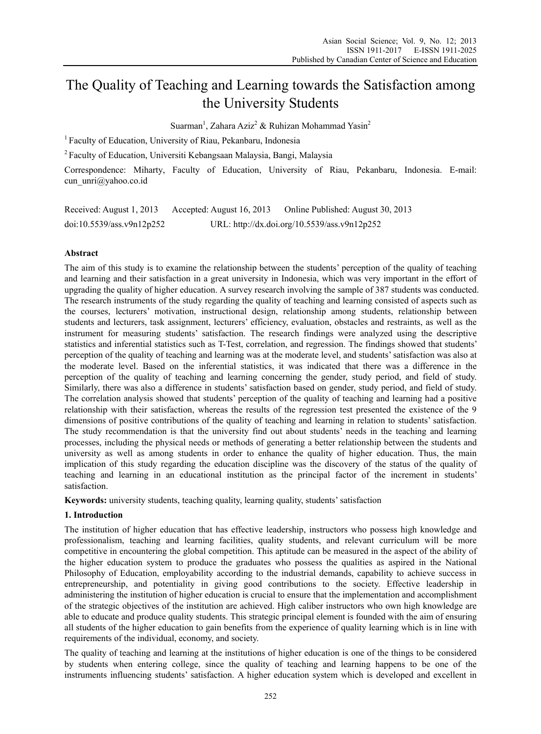# The Quality of Teaching and Learning towards the Satisfaction among the University Students

Suarman<sup>1</sup>, Zahara Aziz<sup>2</sup> & Ruhizan Mohammad Yasin<sup>2</sup>

<sup>1</sup> Faculty of Education, University of Riau, Pekanbaru, Indonesia

2 Faculty of Education, Universiti Kebangsaan Malaysia, Bangi, Malaysia

Correspondence: Miharty, Faculty of Education, University of Riau, Pekanbaru, Indonesia. E-mail: cun unri@yahoo.co.id

Received: August 1, 2013 Accepted: August 16, 2013 Online Published: August 30, 2013 doi:10.5539/ass.v9n12p252 URL: http://dx.doi.org/10.5539/ass.v9n12p252

# **Abstract**

The aim of this study is to examine the relationship between the students' perception of the quality of teaching and learning and their satisfaction in a great university in Indonesia, which was very important in the effort of upgrading the quality of higher education. A survey research involving the sample of 387 students was conducted. The research instruments of the study regarding the quality of teaching and learning consisted of aspects such as the courses, lecturers' motivation, instructional design, relationship among students, relationship between students and lecturers, task assignment, lecturers' efficiency, evaluation, obstacles and restraints, as well as the instrument for measuring students' satisfaction. The research findings were analyzed using the descriptive statistics and inferential statistics such as T-Test, correlation, and regression. The findings showed that students' perception of the quality of teaching and learning was at the moderate level, and students' satisfaction was also at the moderate level. Based on the inferential statistics, it was indicated that there was a difference in the perception of the quality of teaching and learning concerning the gender, study period, and field of study. Similarly, there was also a difference in students' satisfaction based on gender, study period, and field of study. The correlation analysis showed that students' perception of the quality of teaching and learning had a positive relationship with their satisfaction, whereas the results of the regression test presented the existence of the 9 dimensions of positive contributions of the quality of teaching and learning in relation to students' satisfaction. The study recommendation is that the university find out about students' needs in the teaching and learning processes, including the physical needs or methods of generating a better relationship between the students and university as well as among students in order to enhance the quality of higher education. Thus, the main implication of this study regarding the education discipline was the discovery of the status of the quality of teaching and learning in an educational institution as the principal factor of the increment in students' satisfaction.

**Keywords:** university students, teaching quality, learning quality, students' satisfaction

## **1. Introduction**

The institution of higher education that has effective leadership, instructors who possess high knowledge and professionalism, teaching and learning facilities, quality students, and relevant curriculum will be more competitive in encountering the global competition. This aptitude can be measured in the aspect of the ability of the higher education system to produce the graduates who possess the qualities as aspired in the National Philosophy of Education, employability according to the industrial demands, capability to achieve success in entrepreneurship, and potentiality in giving good contributions to the society. Effective leadership in administering the institution of higher education is crucial to ensure that the implementation and accomplishment of the strategic objectives of the institution are achieved. High caliber instructors who own high knowledge are able to educate and produce quality students. This strategic principal element is founded with the aim of ensuring all students of the higher education to gain benefits from the experience of quality learning which is in line with requirements of the individual, economy, and society.

The quality of teaching and learning at the institutions of higher education is one of the things to be considered by students when entering college, since the quality of teaching and learning happens to be one of the instruments influencing students' satisfaction. A higher education system which is developed and excellent in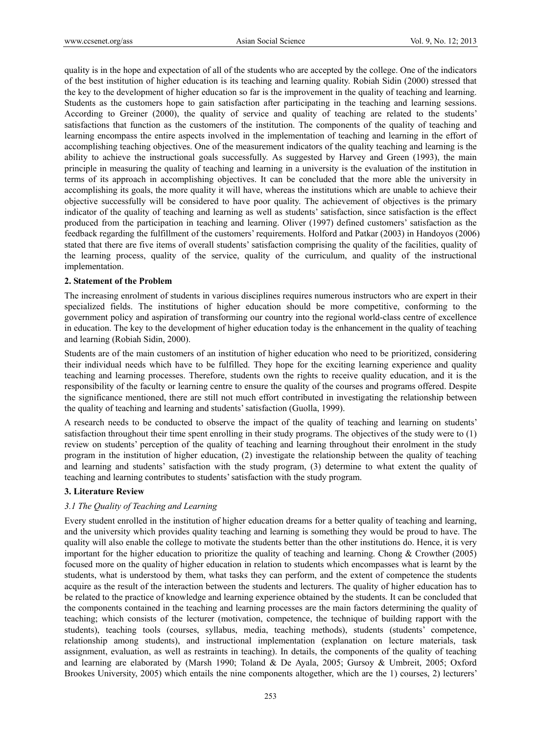quality is in the hope and expectation of all of the students who are accepted by the college. One of the indicators of the best institution of higher education is its teaching and learning quality. Robiah Sidin (2000) stressed that the key to the development of higher education so far is the improvement in the quality of teaching and learning. Students as the customers hope to gain satisfaction after participating in the teaching and learning sessions. According to Greiner (2000), the quality of service and quality of teaching are related to the students' satisfactions that function as the customers of the institution. The components of the quality of teaching and learning encompass the entire aspects involved in the implementation of teaching and learning in the effort of accomplishing teaching objectives. One of the measurement indicators of the quality teaching and learning is the ability to achieve the instructional goals successfully. As suggested by Harvey and Green (1993), the main principle in measuring the quality of teaching and learning in a university is the evaluation of the institution in terms of its approach in accomplishing objectives. It can be concluded that the more able the university in accomplishing its goals, the more quality it will have, whereas the institutions which are unable to achieve their objective successfully will be considered to have poor quality. The achievement of objectives is the primary indicator of the quality of teaching and learning as well as students' satisfaction, since satisfaction is the effect produced from the participation in teaching and learning. Oliver (1997) defined customers' satisfaction as the feedback regarding the fulfillment of the customers' requirements. Holford and Patkar (2003) in Handoyos (2006) stated that there are five items of overall students' satisfaction comprising the quality of the facilities, quality of the learning process, quality of the service, quality of the curriculum, and quality of the instructional implementation.

#### **2. Statement of the Problem**

The increasing enrolment of students in various disciplines requires numerous instructors who are expert in their specialized fields. The institutions of higher education should be more competitive, conforming to the government policy and aspiration of transforming our country into the regional world-class centre of excellence in education. The key to the development of higher education today is the enhancement in the quality of teaching and learning (Robiah Sidin, 2000).

Students are of the main customers of an institution of higher education who need to be prioritized, considering their individual needs which have to be fulfilled. They hope for the exciting learning experience and quality teaching and learning processes. Therefore, students own the rights to receive quality education, and it is the responsibility of the faculty or learning centre to ensure the quality of the courses and programs offered. Despite the significance mentioned, there are still not much effort contributed in investigating the relationship between the quality of teaching and learning and students' satisfaction (Guolla, 1999).

A research needs to be conducted to observe the impact of the quality of teaching and learning on students' satisfaction throughout their time spent enrolling in their study programs. The objectives of the study were to (1) review on students' perception of the quality of teaching and learning throughout their enrolment in the study program in the institution of higher education, (2) investigate the relationship between the quality of teaching and learning and students' satisfaction with the study program, (3) determine to what extent the quality of teaching and learning contributes to students' satisfaction with the study program.

## **3. Literature Review**

# *3.1 The Quality of Teaching and Learning*

Every student enrolled in the institution of higher education dreams for a better quality of teaching and learning, and the university which provides quality teaching and learning is something they would be proud to have. The quality will also enable the college to motivate the students better than the other institutions do. Hence, it is very important for the higher education to prioritize the quality of teaching and learning. Chong & Crowther (2005) focused more on the quality of higher education in relation to students which encompasses what is learnt by the students, what is understood by them, what tasks they can perform, and the extent of competence the students acquire as the result of the interaction between the students and lecturers. The quality of higher education has to be related to the practice of knowledge and learning experience obtained by the students. It can be concluded that the components contained in the teaching and learning processes are the main factors determining the quality of teaching; which consists of the lecturer (motivation, competence, the technique of building rapport with the students), teaching tools (courses, syllabus, media, teaching methods), students (students' competence, relationship among students), and instructional implementation (explanation on lecture materials, task assignment, evaluation, as well as restraints in teaching). In details, the components of the quality of teaching and learning are elaborated by (Marsh 1990; Toland & De Ayala, 2005; Gursoy & Umbreit, 2005; Oxford Brookes University, 2005) which entails the nine components altogether, which are the 1) courses, 2) lecturers'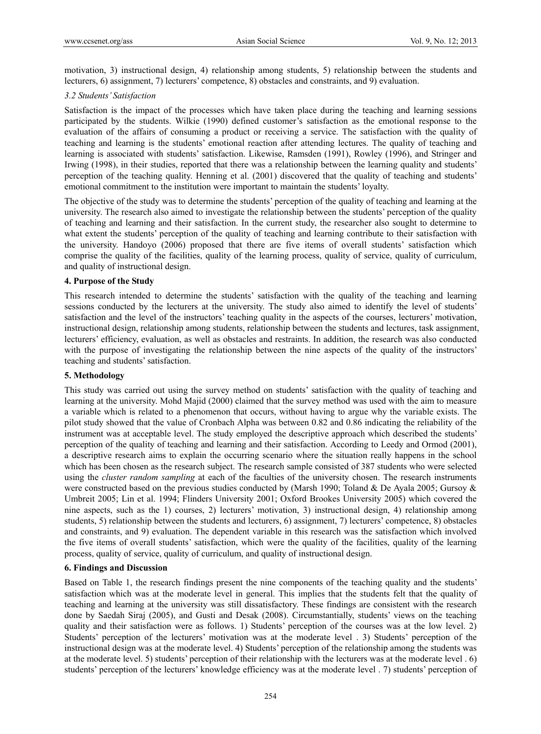motivation, 3) instructional design, 4) relationship among students, 5) relationship between the students and lecturers, 6) assignment, 7) lecturers' competence, 8) obstacles and constraints, and 9) evaluation.

## *3.2 Students' Satisfaction*

Satisfaction is the impact of the processes which have taken place during the teaching and learning sessions participated by the students. Wilkie (1990) defined customer's satisfaction as the emotional response to the evaluation of the affairs of consuming a product or receiving a service. The satisfaction with the quality of teaching and learning is the students' emotional reaction after attending lectures. The quality of teaching and learning is associated with students' satisfaction. Likewise, Ramsden (1991), Rowley (1996), and Stringer and Irwing (1998), in their studies, reported that there was a relationship between the learning quality and students' perception of the teaching quality. Henning et al. (2001) discovered that the quality of teaching and students' emotional commitment to the institution were important to maintain the students' loyalty.

The objective of the study was to determine the students' perception of the quality of teaching and learning at the university. The research also aimed to investigate the relationship between the students' perception of the quality of teaching and learning and their satisfaction. In the current study, the researcher also sought to determine to what extent the students' perception of the quality of teaching and learning contribute to their satisfaction with the university. Handoyo (2006) proposed that there are five items of overall students' satisfaction which comprise the quality of the facilities, quality of the learning process, quality of service, quality of curriculum, and quality of instructional design.

## **4. Purpose of the Study**

This research intended to determine the students' satisfaction with the quality of the teaching and learning sessions conducted by the lecturers at the university. The study also aimed to identify the level of students' satisfaction and the level of the instructors' teaching quality in the aspects of the courses, lecturers' motivation, instructional design, relationship among students, relationship between the students and lectures, task assignment, lecturers' efficiency, evaluation, as well as obstacles and restraints. In addition, the research was also conducted with the purpose of investigating the relationship between the nine aspects of the quality of the instructors' teaching and students' satisfaction.

## **5. Methodology**

This study was carried out using the survey method on students' satisfaction with the quality of teaching and learning at the university. Mohd Majid (2000) claimed that the survey method was used with the aim to measure a variable which is related to a phenomenon that occurs, without having to argue why the variable exists. The pilot study showed that the value of Cronbach Alpha was between 0.82 and 0.86 indicating the reliability of the instrument was at acceptable level. The study employed the descriptive approach which described the students' perception of the quality of teaching and learning and their satisfaction. According to Leedy and Ormod (2001), a descriptive research aims to explain the occurring scenario where the situation really happens in the school which has been chosen as the research subject. The research sample consisted of 387 students who were selected using the *cluster random sampling* at each of the faculties of the university chosen. The research instruments were constructed based on the previous studies conducted by (Marsh 1990; Toland & De Ayala 2005; Gursoy & Umbreit 2005; Lin et al. 1994; Flinders University 2001; Oxford Brookes University 2005) which covered the nine aspects, such as the 1) courses, 2) lecturers' motivation, 3) instructional design, 4) relationship among students, 5) relationship between the students and lecturers, 6) assignment, 7) lecturers' competence, 8) obstacles and constraints, and 9) evaluation. The dependent variable in this research was the satisfaction which involved the five items of overall students' satisfaction, which were the quality of the facilities, quality of the learning process, quality of service, quality of curriculum, and quality of instructional design.

# **6. Findings and Discussion**

Based on Table 1, the research findings present the nine components of the teaching quality and the students' satisfaction which was at the moderate level in general. This implies that the students felt that the quality of teaching and learning at the university was still dissatisfactory. These findings are consistent with the research done by Saedah Siraj (2005), and Gusti and Desak (2008). Circumstantially, students' views on the teaching quality and their satisfaction were as follows. 1) Students' perception of the courses was at the low level. 2) Students' perception of the lecturers' motivation was at the moderate level . 3) Students' perception of the instructional design was at the moderate level. 4) Students' perception of the relationship among the students was at the moderate level. 5) students' perception of their relationship with the lecturers was at the moderate level . 6) students' perception of the lecturers' knowledge efficiency was at the moderate level . 7) students' perception of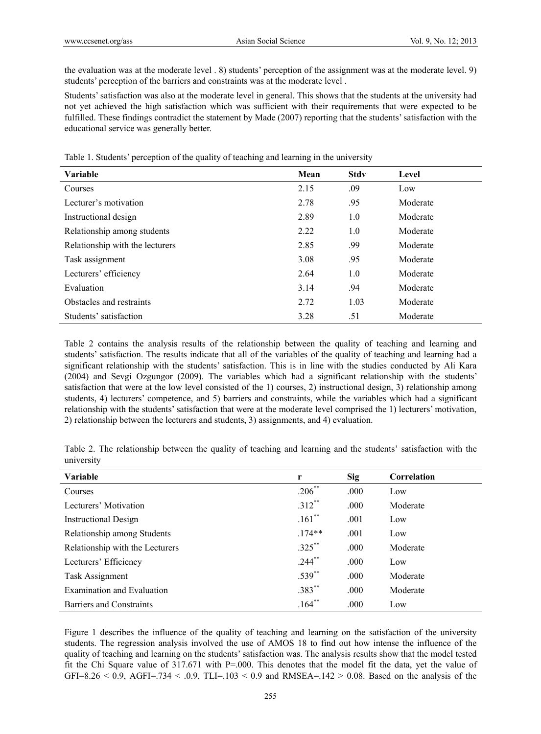the evaluation was at the moderate level . 8) students' perception of the assignment was at the moderate level. 9) students' perception of the barriers and constraints was at the moderate level .

Students' satisfaction was also at the moderate level in general. This shows that the students at the university had not yet achieved the high satisfaction which was sufficient with their requirements that were expected to be fulfilled. These findings contradict the statement by Made (2007) reporting that the students' satisfaction with the educational service was generally better.

| Variable                        | Mean | <b>Stdv</b> | Level    |
|---------------------------------|------|-------------|----------|
| Courses                         | 2.15 | .09         | Low      |
| Lecturer's motivation           | 2.78 | .95         | Moderate |
| Instructional design            | 2.89 | 1.0         | Moderate |
| Relationship among students     | 2.22 | 1.0         | Moderate |
| Relationship with the lecturers | 2.85 | .99         | Moderate |
| Task assignment                 | 3.08 | .95         | Moderate |
| Lecturers' efficiency           | 2.64 | 1.0         | Moderate |
| Evaluation                      | 3.14 | .94         | Moderate |
| Obstacles and restraints        | 2.72 | 1.03        | Moderate |
| Students' satisfaction          | 3.28 | .51         | Moderate |

Table 1. Students' perception of the quality of teaching and learning in the university

Table 2 contains the analysis results of the relationship between the quality of teaching and learning and students' satisfaction. The results indicate that all of the variables of the quality of teaching and learning had a significant relationship with the students' satisfaction. This is in line with the studies conducted by Ali Kara (2004) and Sevgi Ozgungor (2009). The variables which had a significant relationship with the students' satisfaction that were at the low level consisted of the 1) courses, 2) instructional design, 3) relationship among students, 4) lecturers' competence, and 5) barriers and constraints, while the variables which had a significant relationship with the students' satisfaction that were at the moderate level comprised the 1) lecturers' motivation, 2) relationship between the lecturers and students, 3) assignments, and 4) evaluation.

Table 2. The relationship between the quality of teaching and learning and the students' satisfaction with the university

| <b>Variable</b>                 | r           | <b>Sig</b> | Correlation |
|---------------------------------|-------------|------------|-------------|
| Courses                         | $.206***$   | .000       | Low         |
| Lecturers' Motivation           | $.312***$   | .000       | Moderate    |
| <b>Instructional Design</b>     | $.161**$    | .001       | Low         |
| Relationship among Students     | $.174**$    | .001       | Low         |
| Relationship with the Lecturers | $.325***$   | .000       | Moderate    |
| Lecturers' Efficiency           | $.244***$   | .000       | Low         |
| Task Assignment                 | $.539^{**}$ | .000       | Moderate    |
| Examination and Evaluation      | $.383**$    | .000       | Moderate    |
| Barriers and Constraints        | $.164***$   | .000       | Low         |

Figure 1 describes the influence of the quality of teaching and learning on the satisfaction of the university students. The regression analysis involved the use of AMOS 18 to find out how intense the influence of the quality of teaching and learning on the students' satisfaction was. The analysis results show that the model tested fit the Chi Square value of  $317.671$  with P=.000. This denotes that the model fit the data, yet the value of GFI=8.26 < 0.9, AGFI=.734 < .0.9, TLI=.103 < 0.9 and RMSEA=.142 > 0.08. Based on the analysis of the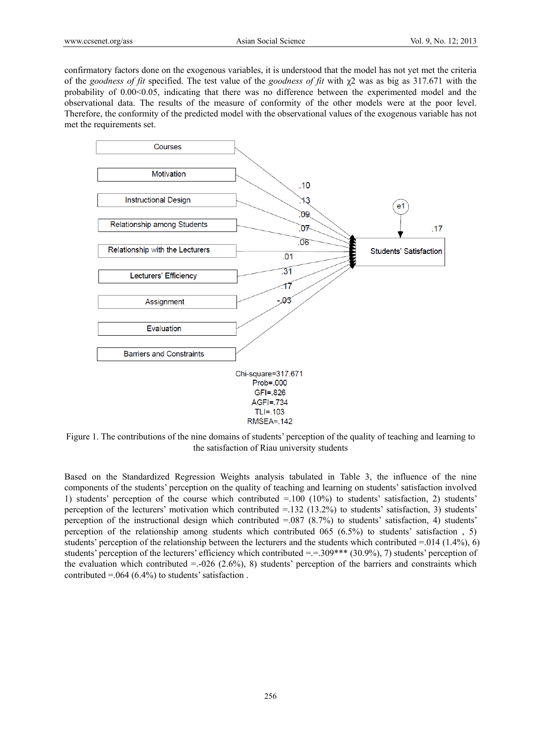confirmatory factors done on the exogenous variables, it is understood that the model has not yet met the criteria of the *goodness of fit* specified. The test value of the *goodness of fit* with χ2 was as big as 317.671 with the probability of  $0.00<0.05$ , indicating that there was no difference between the experimented model and the observational data. The results of the measure of conformity of the other models were at the poor level. Therefore, the conformity of the predicted model with the observational values of the exogenous variable has not met the requirements set.



Figure 1. The contributions of the nine domains of students' perception of the quality of teaching and learning to the satisfaction of Riau university students

Based on the Standardized Regression Weights analysis tabulated in Table 3, the influence of the nine components of the students' perception on the quality of teaching and learning on students' satisfaction involved 1) students' perception of the course which contributed =.100 (10%) to students' satisfaction, 2) students' perception of the lecturers' motivation which contributed =.132 (13.2%) to students' satisfaction, 3) students' perception of the instructional design which contributed  $=0.087$  (8.7%) to students' satisfaction, 4) students' perception of the relationship among students which contributed 065 (6.5%) to students' satisfaction , 5) students' perception of the relationship between the lecturers and the students which contributed  $=$ .014 (1.4%), 6) students' perception of the lecturers' efficiency which contributed  $=$ . $=$ .309\*\*\* (30.9%), 7) students' perception of the evaluation which contributed  $=$  -026 (2.6%), 8) students' perception of the barriers and constraints which contributed  $=$  064 (6.4%) to students' satisfaction.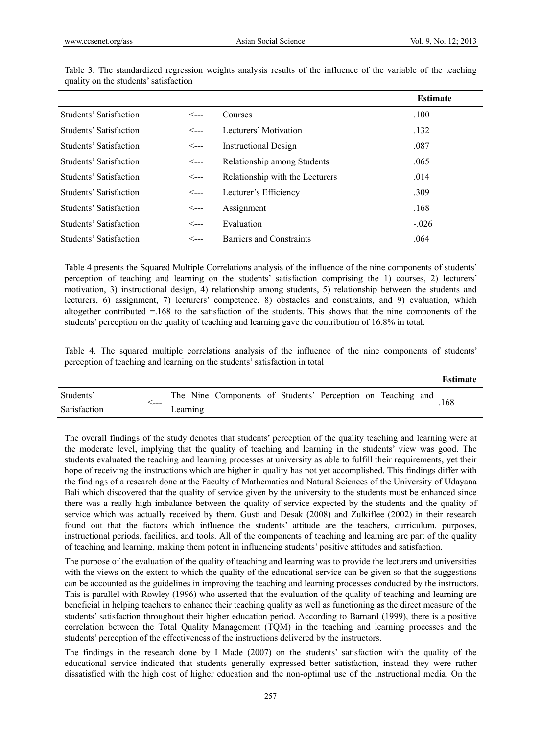|                        |              |                                 | <b>Estimate</b> |
|------------------------|--------------|---------------------------------|-----------------|
| Students' Satisfaction | <---         | Courses                         | .100            |
| Students' Satisfaction | $\leftarrow$ | Lecturers' Motivation           | .132            |
| Students' Satisfaction | <---         | Instructional Design            | .087            |
| Students' Satisfaction | $\leftarrow$ | Relationship among Students     | .065            |
| Students' Satisfaction | $\leftarrow$ | Relationship with the Lecturers | .014            |
| Students' Satisfaction | <---         | Lecturer's Efficiency           | .309            |
| Students' Satisfaction | $\leftarrow$ | Assignment                      | .168            |
| Students' Satisfaction | <---         | Evaluation                      | $-.026$         |
| Students' Satisfaction | <---         | Barriers and Constraints        | .064            |

Table 3. The standardized regression weights analysis results of the influence of the variable of the teaching quality on the students' satisfaction

Table 4 presents the Squared Multiple Correlations analysis of the influence of the nine components of students' perception of teaching and learning on the students' satisfaction comprising the 1) courses, 2) lecturers' motivation, 3) instructional design, 4) relationship among students, 5) relationship between the students and lecturers, 6) assignment, 7) lecturers' competence, 8) obstacles and constraints, and 9) evaluation, which altogether contributed  $=168$  to the satisfaction of the students. This shows that the nine components of the students' perception on the quality of teaching and learning gave the contribution of 16.8% in total.

Table 4. The squared multiple correlations analysis of the influence of the nine components of students' perception of teaching and learning on the students' satisfaction in total

|              |      |          |  |                                                             |  |  |  |  | <b>Estimate</b> |
|--------------|------|----------|--|-------------------------------------------------------------|--|--|--|--|-----------------|
| Students'    | ⊂--- |          |  | The Nine Components of Students' Perception on Teaching and |  |  |  |  | 168             |
| Satisfaction |      | Learning |  |                                                             |  |  |  |  |                 |

The overall findings of the study denotes that students' perception of the quality teaching and learning were at the moderate level, implying that the quality of teaching and learning in the students' view was good. The students evaluated the teaching and learning processes at university as able to fulfill their requirements, yet their hope of receiving the instructions which are higher in quality has not yet accomplished. This findings differ with the findings of a research done at the Faculty of Mathematics and Natural Sciences of the University of Udayana Bali which discovered that the quality of service given by the university to the students must be enhanced since there was a really high imbalance between the quality of service expected by the students and the quality of service which was actually received by them. Gusti and Desak (2008) and Zulkiflee (2002) in their research found out that the factors which influence the students' attitude are the teachers, curriculum, purposes, instructional periods, facilities, and tools. All of the components of teaching and learning are part of the quality of teaching and learning, making them potent in influencing students' positive attitudes and satisfaction.

The purpose of the evaluation of the quality of teaching and learning was to provide the lecturers and universities with the views on the extent to which the quality of the educational service can be given so that the suggestions can be accounted as the guidelines in improving the teaching and learning processes conducted by the instructors. This is parallel with Rowley (1996) who asserted that the evaluation of the quality of teaching and learning are beneficial in helping teachers to enhance their teaching quality as well as functioning as the direct measure of the students' satisfaction throughout their higher education period. According to Barnard (1999), there is a positive correlation between the Total Quality Management (TQM) in the teaching and learning processes and the students' perception of the effectiveness of the instructions delivered by the instructors.

The findings in the research done by I Made (2007) on the students' satisfaction with the quality of the educational service indicated that students generally expressed better satisfaction, instead they were rather dissatisfied with the high cost of higher education and the non-optimal use of the instructional media. On the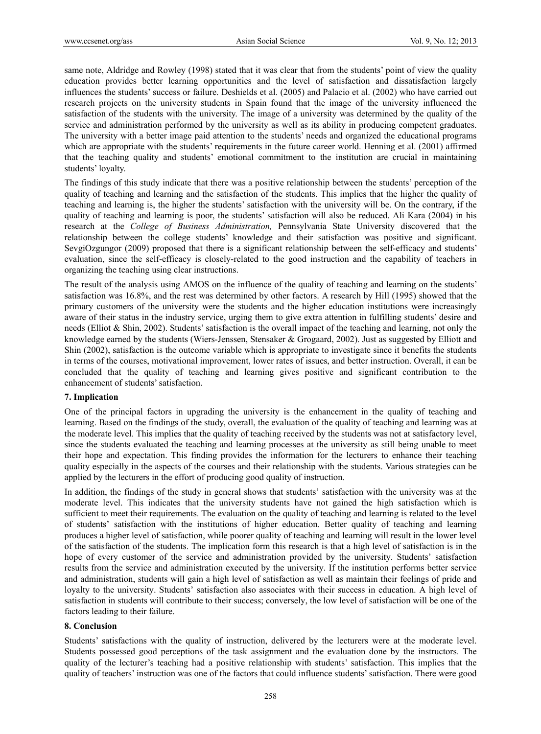same note, Aldridge and Rowley (1998) stated that it was clear that from the students' point of view the quality education provides better learning opportunities and the level of satisfaction and dissatisfaction largely influences the students' success or failure. Deshields et al. (2005) and Palacio et al. (2002) who have carried out research projects on the university students in Spain found that the image of the university influenced the satisfaction of the students with the university. The image of a university was determined by the quality of the service and administration performed by the university as well as its ability in producing competent graduates. The university with a better image paid attention to the students' needs and organized the educational programs which are appropriate with the students' requirements in the future career world. Henning et al. (2001) affirmed that the teaching quality and students' emotional commitment to the institution are crucial in maintaining students' loyalty.

The findings of this study indicate that there was a positive relationship between the students' perception of the quality of teaching and learning and the satisfaction of the students. This implies that the higher the quality of teaching and learning is, the higher the students' satisfaction with the university will be. On the contrary, if the quality of teaching and learning is poor, the students' satisfaction will also be reduced. Ali Kara (2004) in his research at the *College of Business Administration,* Pennsylvania State University discovered that the relationship between the college students' knowledge and their satisfaction was positive and significant. SevgiOzgungor (2009) proposed that there is a significant relationship between the self-efficacy and students' evaluation, since the self-efficacy is closely-related to the good instruction and the capability of teachers in organizing the teaching using clear instructions.

The result of the analysis using AMOS on the influence of the quality of teaching and learning on the students' satisfaction was 16.8%, and the rest was determined by other factors. A research by Hill (1995) showed that the primary customers of the university were the students and the higher education institutions were increasingly aware of their status in the industry service, urging them to give extra attention in fulfilling students' desire and needs (Elliot & Shin, 2002). Students' satisfaction is the overall impact of the teaching and learning, not only the knowledge earned by the students (Wiers-Jenssen, Stensaker & Grogaard, 2002). Just as suggested by Elliott and Shin (2002), satisfaction is the outcome variable which is appropriate to investigate since it benefits the students in terms of the courses, motivational improvement, lower rates of issues, and better instruction. Overall, it can be concluded that the quality of teaching and learning gives positive and significant contribution to the enhancement of students' satisfaction.

## **7. Implication**

One of the principal factors in upgrading the university is the enhancement in the quality of teaching and learning. Based on the findings of the study, overall, the evaluation of the quality of teaching and learning was at the moderate level. This implies that the quality of teaching received by the students was not at satisfactory level, since the students evaluated the teaching and learning processes at the university as still being unable to meet their hope and expectation. This finding provides the information for the lecturers to enhance their teaching quality especially in the aspects of the courses and their relationship with the students. Various strategies can be applied by the lecturers in the effort of producing good quality of instruction.

In addition, the findings of the study in general shows that students' satisfaction with the university was at the moderate level. This indicates that the university students have not gained the high satisfaction which is sufficient to meet their requirements. The evaluation on the quality of teaching and learning is related to the level of students' satisfaction with the institutions of higher education. Better quality of teaching and learning produces a higher level of satisfaction, while poorer quality of teaching and learning will result in the lower level of the satisfaction of the students. The implication form this research is that a high level of satisfaction is in the hope of every customer of the service and administration provided by the university. Students' satisfaction results from the service and administration executed by the university. If the institution performs better service and administration, students will gain a high level of satisfaction as well as maintain their feelings of pride and loyalty to the university. Students' satisfaction also associates with their success in education. A high level of satisfaction in students will contribute to their success; conversely, the low level of satisfaction will be one of the factors leading to their failure.

## **8. Conclusion**

Students' satisfactions with the quality of instruction, delivered by the lecturers were at the moderate level. Students possessed good perceptions of the task assignment and the evaluation done by the instructors. The quality of the lecturer's teaching had a positive relationship with students' satisfaction. This implies that the quality of teachers' instruction was one of the factors that could influence students' satisfaction. There were good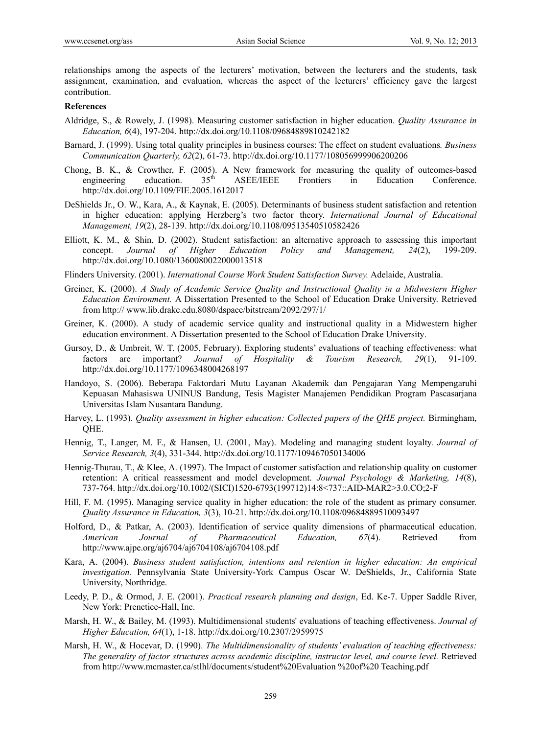relationships among the aspects of the lecturers' motivation, between the lecturers and the students, task assignment, examination, and evaluation, whereas the aspect of the lecturers' efficiency gave the largest contribution.

## **References**

- Aldridge, S., & Rowely, J. (1998). Measuring customer satisfaction in higher education. *Quality Assurance in Education, 6*(4), 197-204. http://dx.doi.org/10.1108/09684889810242182
- Barnard, J. (1999). Using total quality principles in business courses: The effect on student evaluations*. Business Communication Quarterly, 62*(2), 61-73. http://dx.doi.org/10.1177/108056999906200206
- Chong, B. K., & Crowther, F. (2005). A New framework for measuring the quality of outcomes-based engineering education.  $35<sup>th</sup>$  ASEE/IEEE Frontiers in Education Conference engineering education. 35<sup>th</sup> ASEE/IEEE Frontiers in Education Conference. http://dx.doi.org/10.1109/FIE.2005.1612017
- DeShields Jr., O. W., Kara, A., & Kaynak, E. (2005). Determinants of business student satisfaction and retention in higher education: applying Herzberg's two factor theory. *International Journal of Educational Management, 19*(2), 28-139. http://dx.doi.org/10.1108/09513540510582426
- Elliott, K. M., & Shin, D. (2002). Student satisfaction: an alternative approach to assessing this important concept. *Journal of Higher Education Policy and Management, 24*(2), 199-209. http://dx.doi.org/10.1080/1360080022000013518

Flinders University. (2001). *International Course Work Student Satisfaction Survey.* Adelaide, Australia.

- Greiner, K. (2000). *A Study of Academic Service Quality and Instructional Quality in a Midwestern Higher Education Environment.* A Dissertation Presented to the School of Education Drake University. Retrieved from http:// www.lib.drake.edu.8080/dspace/bitstream/2092/297/1/
- Greiner, K. (2000). A study of academic service quality and instructional quality in a Midwestern higher education environment. A Dissertation presented to the School of Education Drake University.
- Gursoy, D., & Umbreit, W. T. (2005, February). Exploring students' evaluations of teaching effectiveness: what factors are important? *Journal of Hospitality & Tourism Research, 29*(1), 91-109. http://dx.doi.org/10.1177/1096348004268197
- Handoyo, S. (2006). Beberapa Faktordari Mutu Layanan Akademik dan Pengajaran Yang Mempengaruhi Kepuasan Mahasiswa UNINUS Bandung, Tesis Magister Manajemen Pendidikan Program Pascasarjana Universitas Islam Nusantara Bandung.
- Harvey, L. (1993). *Quality assessment in higher education: Collected papers of the QHE project.* Birmingham, QHE.
- Hennig, T., Langer, M. F., & Hansen, U. (2001, May). Modeling and managing student loyalty. *Journal of Service Research, 3*(4), 331-344. http://dx.doi.org/10.1177/109467050134006
- Hennig-Thurau, T., & Klee, A. (1997). The Impact of customer satisfaction and relationship quality on customer retention: A critical reassessment and model development. *Journal Psychology & Marketing, 14*(8), 737-764. http://dx.doi.org/10.1002/(SICI)1520-6793(199712)14:8<737::AID-MAR2>3.0.CO;2-F
- Hill, F. M. (1995). Managing service quality in higher education: the role of the student as primary consumer. *Quality Assurance in Education, 3*(3), 10-21. http://dx.doi.org/10.1108/09684889510093497
- Holford, D., & Patkar, A. (2003). Identification of service quality dimensions of pharmaceutical education. *American Journal of Pharmaceutical Education, 67*(4). Retrieved from http://www.ajpe.org/aj6704/aj6704108/aj6704108.pdf
- Kara, A. (2004). *Business student satisfaction, intentions and retention in higher education: An empirical investigation*. Pennsylvania State University-York Campus Oscar W. DeShields, Jr., California State University, Northridge.
- Leedy, P. D., & Ormod, J. E. (2001). *Practical research planning and design*, Ed. Ke-7. Upper Saddle River, New York: Prenctice-Hall, Inc.
- Marsh, H. W., & Bailey, M. (1993). Multidimensional students' evaluations of teaching effectiveness. *Journal of Higher Education, 64*(1), 1-18. http://dx.doi.org/10.2307/2959975
- Marsh, H. W., & Hocevar, D. (1990). *The Multidimensionality of students' evaluation of teaching effectiveness: The generality of factor structures across academic discipline, instructor level, and course level.* Retrieved from http://www.mcmaster.ca/stlhl/documents/student%20Evaluation %20of%20 Teaching.pdf